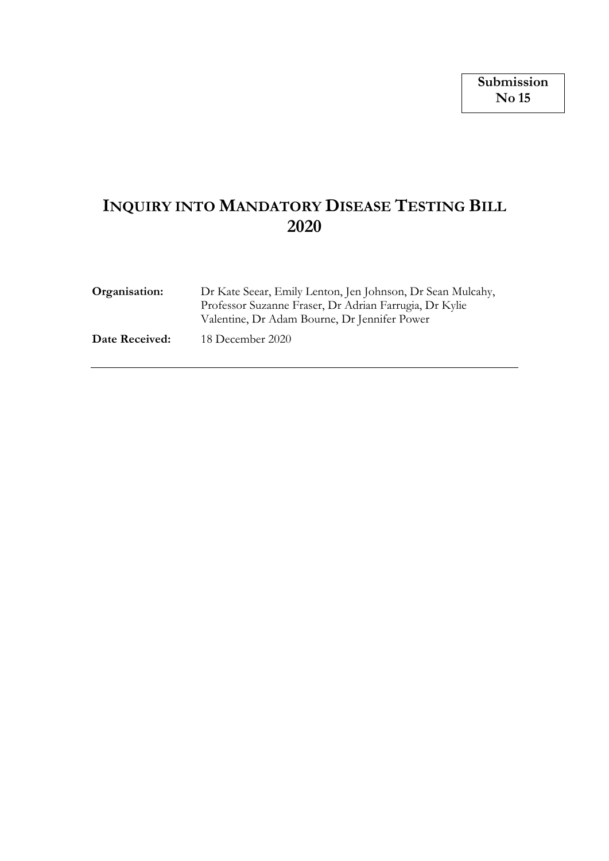# **INQUIRY INTO MANDATORY DISEASE TESTING BILL 2020**

| Organisation:  | Dr Kate Seear, Emily Lenton, Jen Johnson, Dr Sean Mulcahy,<br>Professor Suzanne Fraser, Dr Adrian Farrugia, Dr Kylie<br>Valentine, Dr Adam Bourne, Dr Jennifer Power |
|----------------|----------------------------------------------------------------------------------------------------------------------------------------------------------------------|
| Date Received: | 18 December 2020                                                                                                                                                     |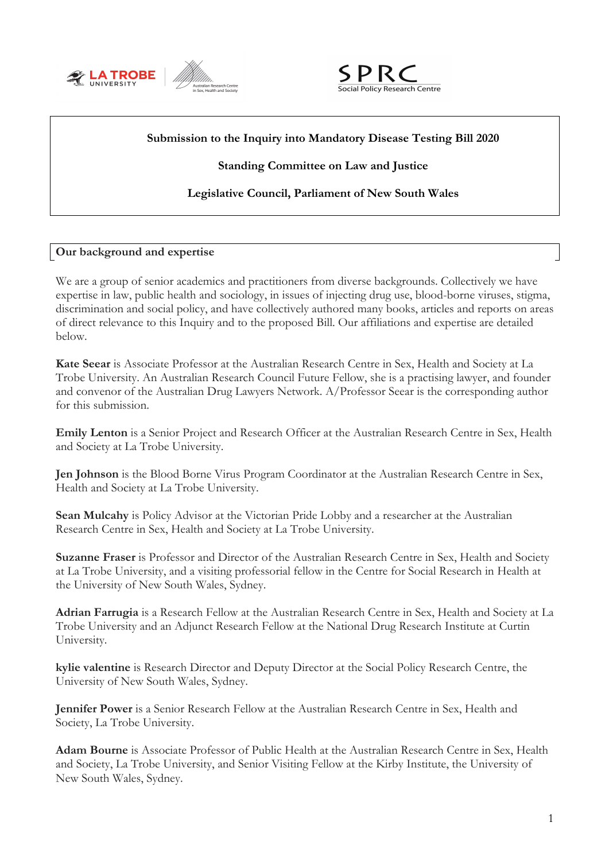



## **Submission to the Inquiry into Mandatory Disease Testing Bill 2020**

## **Standing Committee on Law and Justice**

## **Legislative Council, Parliament of New South Wales**

## **Our background and expertise**

We are a group of senior academics and practitioners from diverse backgrounds. Collectively we have expertise in law, public health and sociology, in issues of injecting drug use, blood-borne viruses, stigma, discrimination and social policy, and have collectively authored many books, articles and reports on areas of direct relevance to this Inquiry and to the proposed Bill. Our affiliations and expertise are detailed below.

**Kate Seear** is Associate Professor at the Australian Research Centre in Sex, Health and Society at La Trobe University. An Australian Research Council Future Fellow, she is a practising lawyer, and founder and convenor of the Australian Drug Lawyers Network. A/Professor Seear is the corresponding author for this submission.

**Emily Lenton** is a Senior Project and Research Officer at the Australian Research Centre in Sex, Health and Society at La Trobe University.

**Jen Johnson** is the Blood Borne Virus Program Coordinator at the Australian Research Centre in Sex, Health and Society at La Trobe University.

**Sean Mulcahy** is Policy Advisor at the Victorian Pride Lobby and a researcher at the Australian Research Centre in Sex, Health and Society at La Trobe University.

**Suzanne Fraser** is Professor and Director of the Australian Research Centre in Sex, Health and Society at La Trobe University, and a visiting professorial fellow in the Centre for Social Research in Health at the University of New South Wales, Sydney.

**Adrian Farrugia** is a Research Fellow at the Australian Research Centre in Sex, Health and Society at La Trobe University and an Adjunct Research Fellow at the National Drug Research Institute at Curtin University.

**kylie valentine** is Research Director and Deputy Director at the Social Policy Research Centre, the University of New South Wales, Sydney.

**Jennifer Power** is a Senior Research Fellow at the Australian Research Centre in Sex, Health and Society, La Trobe University.

**Adam Bourne** is Associate Professor of Public Health at the Australian Research Centre in Sex, Health and Society, La Trobe University, and Senior Visiting Fellow at the Kirby Institute, the University of New South Wales, Sydney.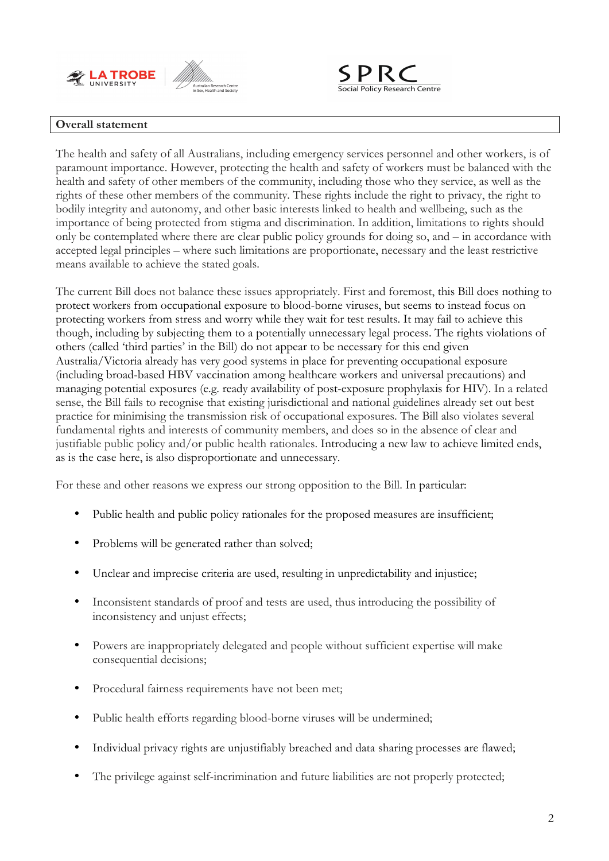



#### **Overall statement**

The health and safety of all Australians, including emergency services personnel and other workers, is of paramount importance. However, protecting the health and safety of workers must be balanced with the health and safety of other members of the community, including those who they service, as well as the rights of these other members of the community. These rights include the right to privacy, the right to bodily integrity and autonomy, and other basic interests linked to health and wellbeing, such as the importance of being protected from stigma and discrimination. In addition, limitations to rights should only be contemplated where there are clear public policy grounds for doing so, and – in accordance with accepted legal principles – where such limitations are proportionate, necessary and the least restrictive means available to achieve the stated goals.

The current Bill does not balance these issues appropriately. First and foremost, this Bill does nothing to protect workers from occupational exposure to blood-borne viruses, but seems to instead focus on protecting workers from stress and worry while they wait for test results. It may fail to achieve this though, including by subjecting them to a potentially unnecessary legal process. The rights violations of others (called 'third parties' in the Bill) do not appear to be necessary for this end given Australia/Victoria already has very good systems in place for preventing occupational exposure (including broad-based HBV vaccination among healthcare workers and universal precautions) and managing potential exposures (e.g. ready availability of post-exposure prophylaxis for HIV). In a related sense, the Bill fails to recognise that existing jurisdictional and national guidelines already set out best practice for minimising the transmission risk of occupational exposures. The Bill also violates several fundamental rights and interests of community members, and does so in the absence of clear and justifiable public policy and/or public health rationales. Introducing a new law to achieve limited ends, as is the case here, is also disproportionate and unnecessary.

For these and other reasons we express our strong opposition to the Bill. In particular:

- Public health and public policy rationales for the proposed measures are insufficient;
- Problems will be generated rather than solved;
- Unclear and imprecise criteria are used, resulting in unpredictability and injustice;
- Inconsistent standards of proof and tests are used, thus introducing the possibility of inconsistency and unjust effects;
- Powers are inappropriately delegated and people without sufficient expertise will make consequential decisions;
- Procedural fairness requirements have not been met;
- Public health efforts regarding blood-borne viruses will be undermined;
- Individual privacy rights are unjustifiably breached and data sharing processes are flawed;
- The privilege against self-incrimination and future liabilities are not properly protected;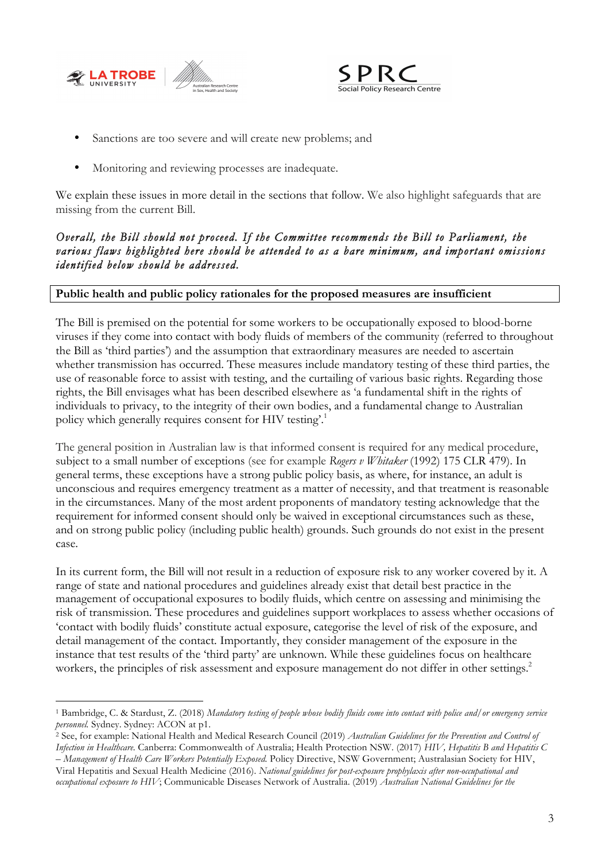



- Sanctions are too severe and will create new problems; and
- Monitoring and reviewing processes are inadequate.

We explain these issues in more detail in the sections that follow. We also highlight safeguards that are missing from the current Bill.

## *Overall, the Bill should not proceed. If the Committee recommends the Bill to Parliament, the various flaws highlighted here should be attended to as a bare minimum, and important omissions identified below should be addressed.*

## **Public health and public policy rationales for the proposed measures are insufficient**

The Bill is premised on the potential for some workers to be occupationally exposed to blood-borne viruses if they come into contact with body fluids of members of the community (referred to throughout the Bill as 'third parties') and the assumption that extraordinary measures are needed to ascertain whether transmission has occurred. These measures include mandatory testing of these third parties, the use of reasonable force to assist with testing, and the curtailing of various basic rights. Regarding those rights, the Bill envisages what has been described elsewhere as 'a fundamental shift in the rights of individuals to privacy, to the integrity of their own bodies, and a fundamental change to Australian policy which generally requires consent for HIV testing'.<sup>1</sup>

The general position in Australian law is that informed consent is required for any medical procedure, subject to a small number of exceptions (see for example *Rogers v Whitaker* (1992) 175 CLR 479). In general terms, these exceptions have a strong public policy basis, as where, for instance, an adult is unconscious and requires emergency treatment as a matter of necessity, and that treatment is reasonable in the circumstances. Many of the most ardent proponents of mandatory testing acknowledge that the requirement for informed consent should only be waived in exceptional circumstances such as these, and on strong public policy (including public health) grounds. Such grounds do not exist in the present case.

In its current form, the Bill will not result in a reduction of exposure risk to any worker covered by it. A range of state and national procedures and guidelines already exist that detail best practice in the management of occupational exposures to bodily fluids, which centre on assessing and minimising the risk of transmission. These procedures and guidelines support workplaces to assess whether occasions of 'contact with bodily fluids' constitute actual exposure, categorise the level of risk of the exposure, and detail management of the contact. Importantly, they consider management of the exposure in the instance that test results of the 'third party' are unknown. While these guidelines focus on healthcare workers, the principles of risk assessment and exposure management do not differ in other settings.<sup>2</sup>

 <sup>1</sup> Bambridge, C. & Stardust, Z. (2018) *Mandatory testing of people whose bodily fluids come into contact with police and/or emergency service personnel.* Sydney. Sydney: ACON at p1.

<sup>2</sup> See, for example: National Health and Medical Research Council (2019) *Australian Guidelines for the Prevention and Control of Infection in Healthcare.* Canberra: Commonwealth of Australia; Health Protection NSW. (2017) *HIV, Hepatitis B and Hepatitis C – Management of Health Care Workers Potentially Exposed.* Policy Directive, NSW Government; Australasian Society for HIV,

Viral Hepatitis and Sexual Health Medicine (2016). *National guidelines for post-exposure prophylaxis after non-occupational and occupational exposure to HIV*; Communicable Diseases Network of Australia. (2019) *Australian National Guidelines for the*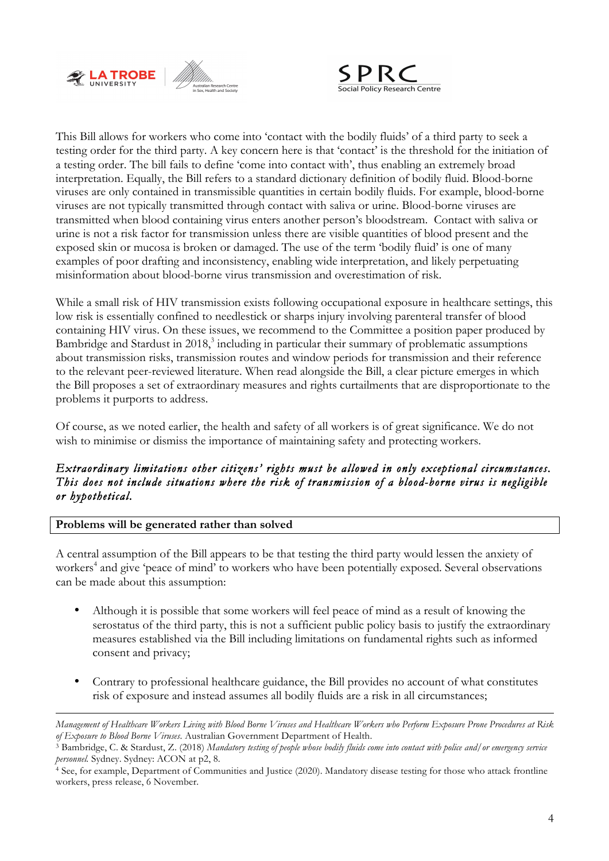



This Bill allows for workers who come into 'contact with the bodily fluids' of a third party to seek a testing order for the third party. A key concern here is that 'contact' is the threshold for the initiation of a testing order. The bill fails to define 'come into contact with', thus enabling an extremely broad interpretation. Equally, the Bill refers to a standard dictionary definition of bodily fluid. Blood-borne viruses are only contained in transmissible quantities in certain bodily fluids. For example, blood-borne viruses are not typically transmitted through contact with saliva or urine. Blood-borne viruses are transmitted when blood containing virus enters another person's bloodstream. Contact with saliva or urine is not a risk factor for transmission unless there are visible quantities of blood present and the exposed skin or mucosa is broken or damaged. The use of the term 'bodily fluid' is one of many examples of poor drafting and inconsistency, enabling wide interpretation, and likely perpetuating misinformation about blood-borne virus transmission and overestimation of risk.

While a small risk of HIV transmission exists following occupational exposure in healthcare settings, this low risk is essentially confined to needlestick or sharps injury involving parenteral transfer of blood containing HIV virus. On these issues, we recommend to the Committee a position paper produced by Bambridge and Stardust in 2018, <sup>3</sup> including in particular their summary of problematic assumptions about transmission risks, transmission routes and window periods for transmission and their reference to the relevant peer-reviewed literature. When read alongside the Bill, a clear picture emerges in which the Bill proposes a set of extraordinary measures and rights curtailments that are disproportionate to the problems it purports to address.

Of course, as we noted earlier, the health and safety of all workers is of great significance. We do not wish to minimise or dismiss the importance of maintaining safety and protecting workers.

## *Extraordinary limitations other citizens' rights must be allowed in only exceptional circumstances. This does not include situations where the risk of transmission of a blood-borne virus is negligible or hypothetical.*

## **Problems will be generated rather than solved**

 $\overline{a}$ 

A central assumption of the Bill appears to be that testing the third party would lessen the anxiety of workers<sup>4</sup> and give 'peace of mind' to workers who have been potentially exposed. Several observations can be made about this assumption:

- Although it is possible that some workers will feel peace of mind as a result of knowing the serostatus of the third party, this is not a sufficient public policy basis to justify the extraordinary measures established via the Bill including limitations on fundamental rights such as informed consent and privacy;
- Contrary to professional healthcare guidance, the Bill provides no account of what constitutes risk of exposure and instead assumes all bodily fluids are a risk in all circumstances;

*Management of Healthcare Workers Living with Blood Borne Viruses and Healthcare Workers who Perform Exposure Prone Procedures at Risk* of Exposure to Blood Borne Viruses. Australian Government Department of Health.<br><sup>3</sup> Bambridge, C. & Stardust, Z. (2018) Mandatory testing of people whose bodily fluids come into contact with police and/or emergency service

*personnel.* Sydney. Sydney: ACON at p2, 8.

<sup>4</sup> See, for example, Department of Communities and Justice (2020). Mandatory disease testing for those who attack frontline workers, press release, 6 November.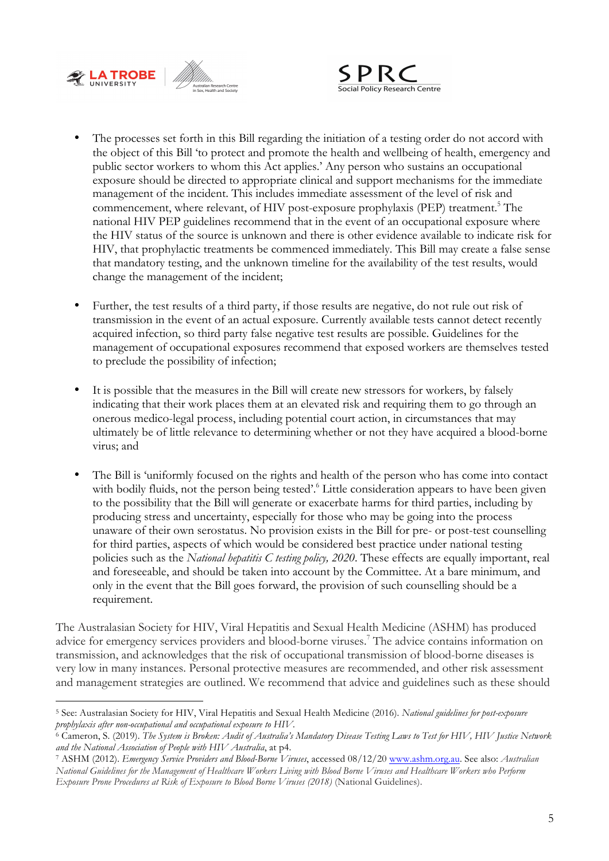



- The processes set forth in this Bill regarding the initiation of a testing order do not accord with the object of this Bill 'to protect and promote the health and wellbeing of health, emergency and public sector workers to whom this Act applies.' Any person who sustains an occupational exposure should be directed to appropriate clinical and support mechanisms for the immediate management of the incident. This includes immediate assessment of the level of risk and commencement, where relevant, of HIV post-exposure prophylaxis (PEP) treatment.<sup>5</sup> The national HIV PEP guidelines recommend that in the event of an occupational exposure where the HIV status of the source is unknown and there is other evidence available to indicate risk for HIV, that prophylactic treatments be commenced immediately. This Bill may create a false sense that mandatory testing, and the unknown timeline for the availability of the test results, would change the management of the incident;
- Further, the test results of a third party, if those results are negative, do not rule out risk of transmission in the event of an actual exposure. Currently available tests cannot detect recently acquired infection, so third party false negative test results are possible. Guidelines for the management of occupational exposures recommend that exposed workers are themselves tested to preclude the possibility of infection;
- It is possible that the measures in the Bill will create new stressors for workers, by falsely indicating that their work places them at an elevated risk and requiring them to go through an onerous medico-legal process, including potential court action, in circumstances that may ultimately be of little relevance to determining whether or not they have acquired a blood-borne virus; and
- The Bill is 'uniformly focused on the rights and health of the person who has come into contact with bodily fluids, not the person being tested'.<sup>6</sup> Little consideration appears to have been given to the possibility that the Bill will generate or exacerbate harms for third parties, including by producing stress and uncertainty, especially for those who may be going into the process unaware of their own serostatus. No provision exists in the Bill for pre- or post-test counselling for third parties, aspects of which would be considered best practice under national testing policies such as the *National hepatitis C testing policy, 2020*. These effects are equally important, real and foreseeable, and should be taken into account by the Committee. At a bare minimum, and only in the event that the Bill goes forward, the provision of such counselling should be a requirement.

The Australasian Society for HIV, Viral Hepatitis and Sexual Health Medicine (ASHM) has produced advice for emergency services providers and blood-borne viruses.<sup>7</sup> The advice contains information on transmission, and acknowledges that the risk of occupational transmission of blood-borne diseases is very low in many instances. Personal protective measures are recommended, and other risk assessment and management strategies are outlined. We recommend that advice and guidelines such as these should

 <sup>5</sup> See: Australasian Society for HIV, Viral Hepatitis and Sexual Health Medicine (2016). *National guidelines for post-exposure prophylaxis after non-occupational and occupational exposure to HIV.*

<sup>6</sup> Cameron, S. (2019). *The System is Broken: Audit of Australia's Mandatory Disease Testing Laws to Test for HIV, HIV Justice Network and the National Association of People with HIV Australia*, at p4.

<sup>7</sup> ASHM (2012). *Emergency Service Providers and Blood-Borne Viruses*, accessed 08/12/20 www.ashm.org.au. See also: *Australian National Guidelines for the Management of Healthcare Workers Living with Blood Borne Viruses and Healthcare Workers who Perform Exposure Prone Procedures at Risk of Exposure to Blood Borne Viruses (2018)* (National Guidelines).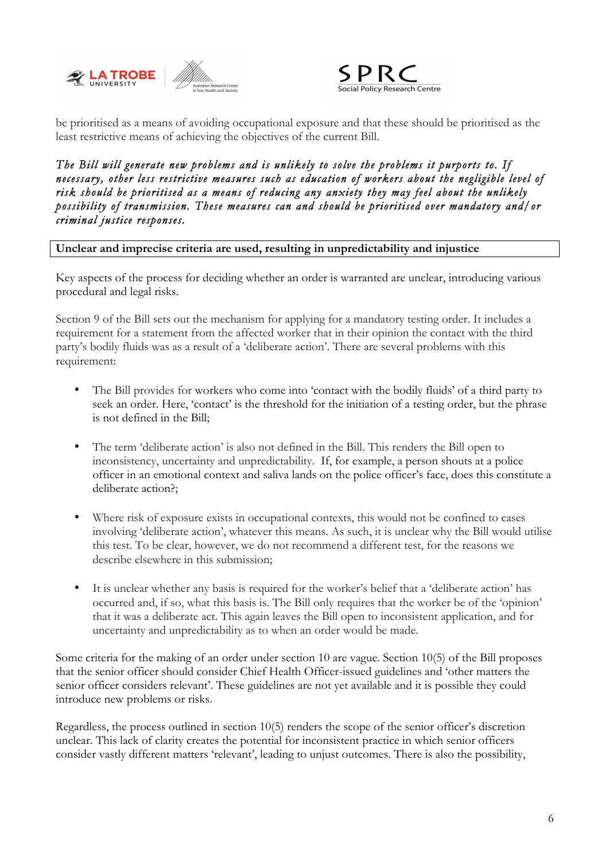



be prioritised as a means of avoiding occupational exposure and that these should be prioritised as the least restrictive means of achieving the objectives of the current Bill.

*The Bill will generate new problems and is unlikely to solve the problems it purports to. If necessary, other less restrictive measures such as education of workers about the negligible level of risk should be prioritised as a means of reducing any anxiety they may feel about the unlikely possibility of transmission. These measures can and should be prioritised over mandatory and/or criminal justice responses.* 

**Unclear and imprecise criteria are used, resulting in unpredictability and injustice**

Key aspects of the process for deciding whether an order is warranted are unclear, introducing various procedural and legal risks.

Section 9 of the Bill sets out the mechanism for applying for a mandatory testing order. It includes a requirement for a statement from the affected worker that in their opinion the contact with the third party's bodily fluids was as a result of a 'deliberate action'. There are several problems with this requirement:

- The Bill provides for workers who come into 'contact with the bodily fluids' of a third party to seek an order. Here, 'contact' is the threshold for the initiation of a testing order, but the phrase is not defined in the Bill;
- The term 'deliberate action' is also not defined in the Bill. This renders the Bill open to inconsistency, uncertainty and unpredictability. If, for example, a person shouts at a police officer in an emotional context and saliva lands on the police officer's face, does this constitute a deliberate action?;
- Where risk of exposure exists in occupational contexts, this would not be confined to cases involving 'deliberate action', whatever this means. As such, it is unclear why the Bill would utilise this test. To be clear, however, we do not recommend a different test, for the reasons we describe elsewhere in this submission;
- It is unclear whether any basis is required for the worker's belief that a 'deliberate action' has occurred and, if so, what this basis is. The Bill only requires that the worker be of the 'opinion' that it was a deliberate act. This again leaves the Bill open to inconsistent application, and for uncertainty and unpredictability as to when an order would be made.

Some criteria for the making of an order under section 10 are vague. Section 10(5) of the Bill proposes that the senior officer should consider Chief Health Officer-issued guidelines and 'other matters the senior officer considers relevant'. These guidelines are not yet available and it is possible they could introduce new problems or risks.

Regardless, the process outlined in section 10(5) renders the scope of the senior officer's discretion unclear. This lack of clarity creates the potential for inconsistent practice in which senior officers consider vastly different matters 'relevant', leading to unjust outcomes. There is also the possibility,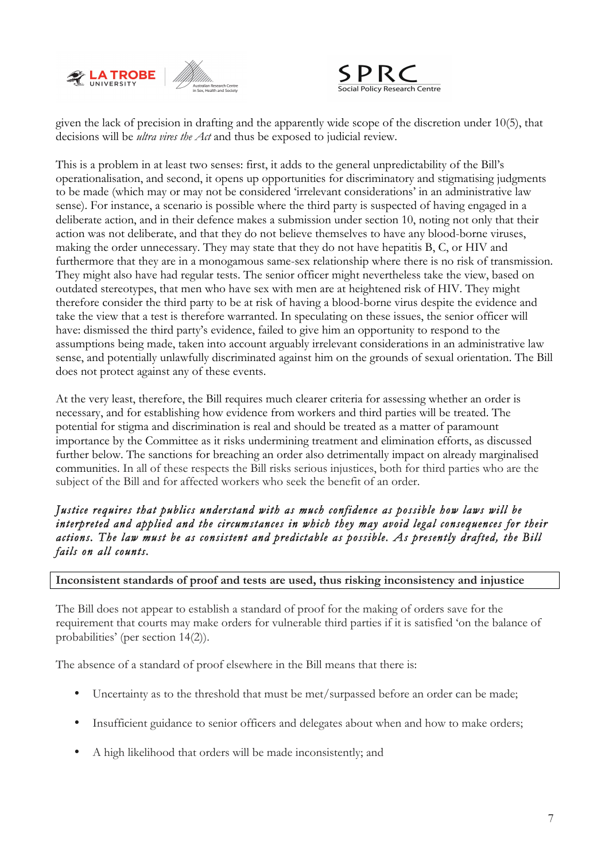



given the lack of precision in drafting and the apparently wide scope of the discretion under 10(5), that decisions will be *ultra vires the Act* and thus be exposed to judicial review.

This is a problem in at least two senses: first, it adds to the general unpredictability of the Bill's operationalisation, and second, it opens up opportunities for discriminatory and stigmatising judgments to be made (which may or may not be considered 'irrelevant considerations' in an administrative law sense). For instance, a scenario is possible where the third party is suspected of having engaged in a deliberate action, and in their defence makes a submission under section 10, noting not only that their action was not deliberate, and that they do not believe themselves to have any blood-borne viruses, making the order unnecessary. They may state that they do not have hepatitis B, C, or HIV and furthermore that they are in a monogamous same-sex relationship where there is no risk of transmission. They might also have had regular tests. The senior officer might nevertheless take the view, based on outdated stereotypes, that men who have sex with men are at heightened risk of HIV. They might therefore consider the third party to be at risk of having a blood-borne virus despite the evidence and take the view that a test is therefore warranted. In speculating on these issues, the senior officer will have: dismissed the third party's evidence, failed to give him an opportunity to respond to the assumptions being made, taken into account arguably irrelevant considerations in an administrative law sense, and potentially unlawfully discriminated against him on the grounds of sexual orientation. The Bill does not protect against any of these events.

At the very least, therefore, the Bill requires much clearer criteria for assessing whether an order is necessary, and for establishing how evidence from workers and third parties will be treated. The potential for stigma and discrimination is real and should be treated as a matter of paramount importance by the Committee as it risks undermining treatment and elimination efforts, as discussed further below. The sanctions for breaching an order also detrimentally impact on already marginalised communities. In all of these respects the Bill risks serious injustices, both for third parties who are the subject of the Bill and for affected workers who seek the benefit of an order.

*Justice requires that publics understand with as much confidence as possible how laws will be interpreted and applied and the circumstances in which they may avoid legal consequences for their actions. The law must be as consistent and predictable as possible. As presently drafted, the Bill fails on all counts.* 

#### **Inconsistent standards of proof and tests are used, thus risking inconsistency and injustice**

The Bill does not appear to establish a standard of proof for the making of orders save for the requirement that courts may make orders for vulnerable third parties if it is satisfied 'on the balance of probabilities' (per section 14(2)).

The absence of a standard of proof elsewhere in the Bill means that there is:

- Uncertainty as to the threshold that must be met/surpassed before an order can be made;
- Insufficient guidance to senior officers and delegates about when and how to make orders;
- A high likelihood that orders will be made inconsistently; and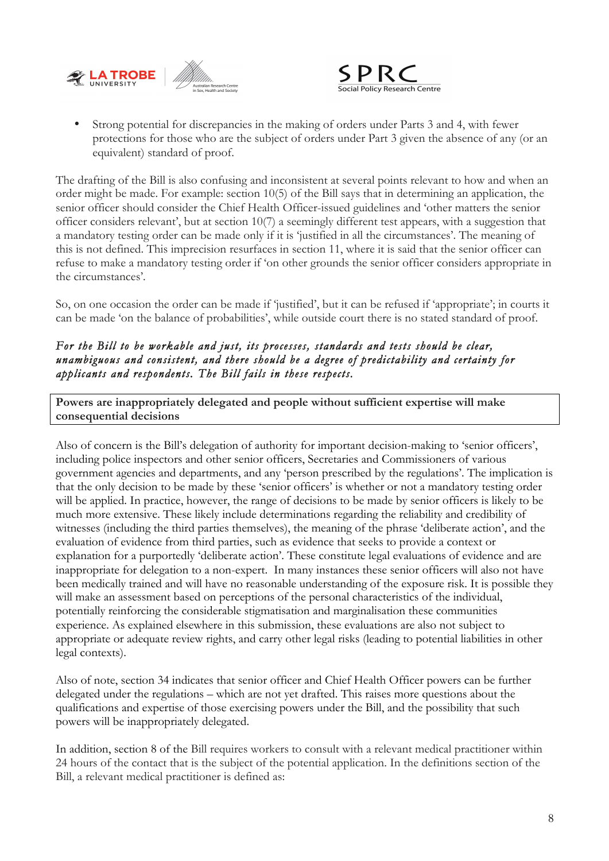



• Strong potential for discrepancies in the making of orders under Parts 3 and 4, with fewer protections for those who are the subject of orders under Part 3 given the absence of any (or an equivalent) standard of proof.

The drafting of the Bill is also confusing and inconsistent at several points relevant to how and when an order might be made. For example: section 10(5) of the Bill says that in determining an application, the senior officer should consider the Chief Health Officer-issued guidelines and 'other matters the senior officer considers relevant', but at section 10(7) a seemingly different test appears, with a suggestion that a mandatory testing order can be made only if it is 'justified in all the circumstances'. The meaning of this is not defined. This imprecision resurfaces in section 11, where it is said that the senior officer can refuse to make a mandatory testing order if 'on other grounds the senior officer considers appropriate in the circumstances'.

So, on one occasion the order can be made if 'justified', but it can be refused if 'appropriate'; in courts it can be made 'on the balance of probabilities', while outside court there is no stated standard of proof.

# *For the Bill to be workable and just, its processes, standards and tests should be clear, unambiguous and consistent, and there should be a degree of predictability and certainty for applicants and respondents. The Bill fails in these respects.*

**Powers are inappropriately delegated and people without sufficient expertise will make consequential decisions**

Also of concern is the Bill's delegation of authority for important decision-making to 'senior officers', including police inspectors and other senior officers, Secretaries and Commissioners of various government agencies and departments, and any 'person prescribed by the regulations'. The implication is that the only decision to be made by these 'senior officers' is whether or not a mandatory testing order will be applied. In practice, however, the range of decisions to be made by senior officers is likely to be much more extensive. These likely include determinations regarding the reliability and credibility of witnesses (including the third parties themselves), the meaning of the phrase 'deliberate action', and the evaluation of evidence from third parties, such as evidence that seeks to provide a context or explanation for a purportedly 'deliberate action'. These constitute legal evaluations of evidence and are inappropriate for delegation to a non-expert. In many instances these senior officers will also not have been medically trained and will have no reasonable understanding of the exposure risk. It is possible they will make an assessment based on perceptions of the personal characteristics of the individual, potentially reinforcing the considerable stigmatisation and marginalisation these communities experience. As explained elsewhere in this submission, these evaluations are also not subject to appropriate or adequate review rights, and carry other legal risks (leading to potential liabilities in other legal contexts).

Also of note, section 34 indicates that senior officer and Chief Health Officer powers can be further delegated under the regulations – which are not yet drafted. This raises more questions about the qualifications and expertise of those exercising powers under the Bill, and the possibility that such powers will be inappropriately delegated.

In addition, section 8 of the Bill requires workers to consult with a relevant medical practitioner within 24 hours of the contact that is the subject of the potential application. In the definitions section of the Bill, a relevant medical practitioner is defined as: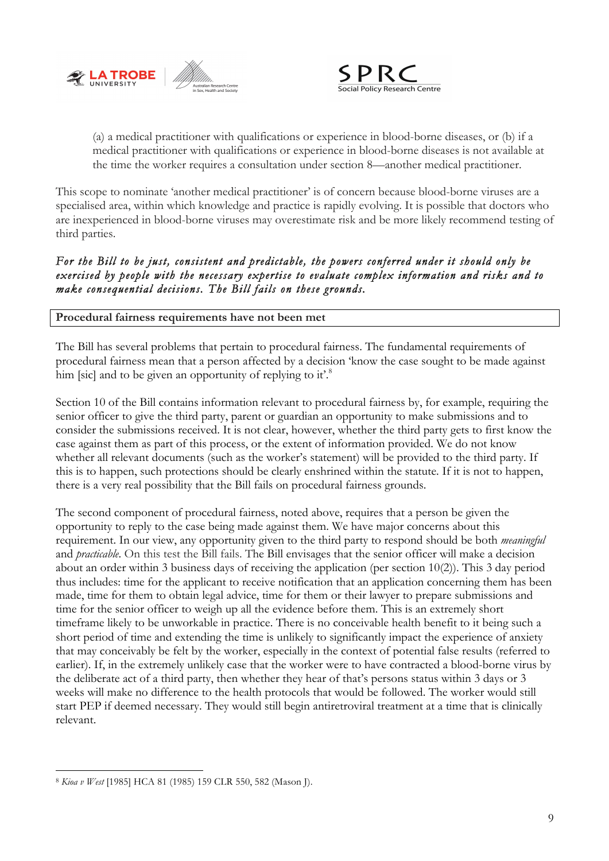



(a) a medical practitioner with qualifications or experience in blood-borne diseases, or (b) if a medical practitioner with qualifications or experience in blood-borne diseases is not available at the time the worker requires a consultation under section 8—another medical practitioner.

This scope to nominate 'another medical practitioner' is of concern because blood-borne viruses are a specialised area, within which knowledge and practice is rapidly evolving. It is possible that doctors who are inexperienced in blood-borne viruses may overestimate risk and be more likely recommend testing of third parties.

# *For the Bill to be just, consistent and predictable, the powers conferred under it should only be exercised by people with the necessary expertise to evaluate complex information and risks and to make consequential decisions. The Bill fails on these grounds.*

## **Procedural fairness requirements have not been met**

The Bill has several problems that pertain to procedural fairness. The fundamental requirements of procedural fairness mean that a person affected by a decision 'know the case sought to be made against him [sic] and to be given an opportunity of replying to it.<sup>8</sup>

Section 10 of the Bill contains information relevant to procedural fairness by, for example, requiring the senior officer to give the third party, parent or guardian an opportunity to make submissions and to consider the submissions received. It is not clear, however, whether the third party gets to first know the case against them as part of this process, or the extent of information provided. We do not know whether all relevant documents (such as the worker's statement) will be provided to the third party. If this is to happen, such protections should be clearly enshrined within the statute. If it is not to happen, there is a very real possibility that the Bill fails on procedural fairness grounds.

The second component of procedural fairness, noted above, requires that a person be given the opportunity to reply to the case being made against them. We have major concerns about this requirement. In our view, any opportunity given to the third party to respond should be both *meaningful* and *practicable*. On this test the Bill fails. The Bill envisages that the senior officer will make a decision about an order within 3 business days of receiving the application (per section 10(2)). This 3 day period thus includes: time for the applicant to receive notification that an application concerning them has been made, time for them to obtain legal advice, time for them or their lawyer to prepare submissions and time for the senior officer to weigh up all the evidence before them. This is an extremely short timeframe likely to be unworkable in practice. There is no conceivable health benefit to it being such a short period of time and extending the time is unlikely to significantly impact the experience of anxiety that may conceivably be felt by the worker, especially in the context of potential false results (referred to earlier). If, in the extremely unlikely case that the worker were to have contracted a blood-borne virus by the deliberate act of a third party, then whether they hear of that's persons status within 3 days or 3 weeks will make no difference to the health protocols that would be followed. The worker would still start PEP if deemed necessary. They would still begin antiretroviral treatment at a time that is clinically relevant.

 <sup>8</sup> *Kioa v West* [1985] HCA 81 (1985) 159 CLR 550, 582 (Mason J).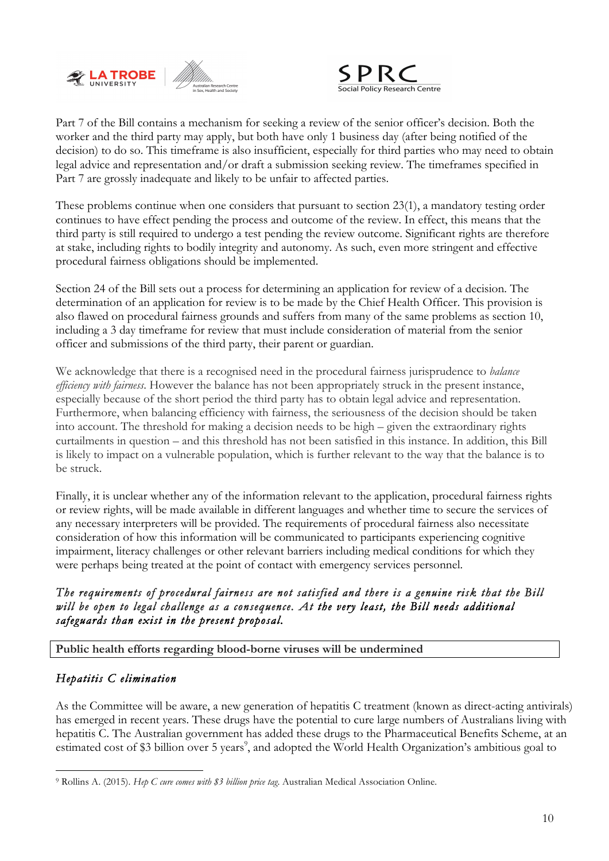



Part 7 of the Bill contains a mechanism for seeking a review of the senior officer's decision. Both the worker and the third party may apply, but both have only 1 business day (after being notified of the decision) to do so. This timeframe is also insufficient, especially for third parties who may need to obtain legal advice and representation and/or draft a submission seeking review. The timeframes specified in Part 7 are grossly inadequate and likely to be unfair to affected parties.

These problems continue when one considers that pursuant to section 23(1), a mandatory testing order continues to have effect pending the process and outcome of the review. In effect, this means that the third party is still required to undergo a test pending the review outcome. Significant rights are therefore at stake, including rights to bodily integrity and autonomy. As such, even more stringent and effective procedural fairness obligations should be implemented.

Section 24 of the Bill sets out a process for determining an application for review of a decision. The determination of an application for review is to be made by the Chief Health Officer. This provision is also flawed on procedural fairness grounds and suffers from many of the same problems as section 10, including a 3 day timeframe for review that must include consideration of material from the senior officer and submissions of the third party, their parent or guardian.

We acknowledge that there is a recognised need in the procedural fairness jurisprudence to *balance efficiency with fairness*. However the balance has not been appropriately struck in the present instance, especially because of the short period the third party has to obtain legal advice and representation. Furthermore, when balancing efficiency with fairness, the seriousness of the decision should be taken into account. The threshold for making a decision needs to be high – given the extraordinary rights curtailments in question – and this threshold has not been satisfied in this instance. In addition, this Bill is likely to impact on a vulnerable population, which is further relevant to the way that the balance is to be struck.

Finally, it is unclear whether any of the information relevant to the application, procedural fairness rights or review rights, will be made available in different languages and whether time to secure the services of any necessary interpreters will be provided. The requirements of procedural fairness also necessitate consideration of how this information will be communicated to participants experiencing cognitive impairment, literacy challenges or other relevant barriers including medical conditions for which they were perhaps being treated at the point of contact with emergency services personnel.

# *The requirements of procedural fairness are not satisfied and there is a genuine risk that the Bill will be open to legal challenge as a consequence. At the very least, the Bill needs additional safeguards than exist in the present proposal.*

**Public health efforts regarding blood-borne viruses will be undermined**

# *Hepatitis C elimination*

As the Committee will be aware, a new generation of hepatitis C treatment (known as direct-acting antivirals) has emerged in recent years. These drugs have the potential to cure large numbers of Australians living with hepatitis C. The Australian government has added these drugs to the Pharmaceutical Benefits Scheme, at an estimated cost of \$3 billion over 5 years<sup>9</sup>, and adopted the World Health Organization's ambitious goal to

 <sup>9</sup> Rollins A. (2015). *Hep C cure comes with \$3 billion price tag*. Australian Medical Association Online.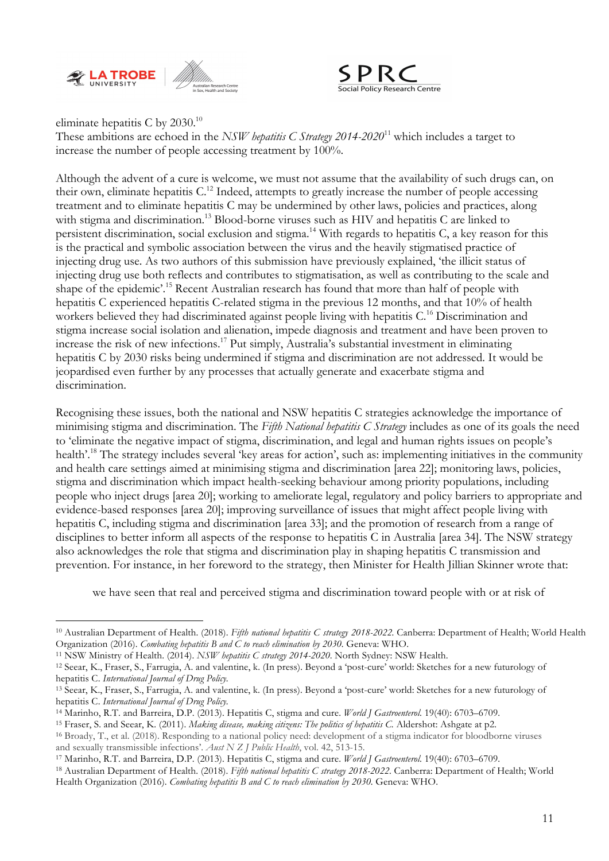



eliminate hepatitis C by 2030. $^{10}$ 

These ambitions are echoed in the *NSW hepatitis C Strategy 2014-2020*<sup>11</sup> which includes a target to increase the number of people accessing treatment by 100%.

Although the advent of a cure is welcome, we must not assume that the availability of such drugs can, on their own, eliminate hepatitis C.12 Indeed, attempts to greatly increase the number of people accessing treatment and to eliminate hepatitis C may be undermined by other laws, policies and practices, along with stigma and discrimination.<sup>13</sup> Blood-borne viruses such as HIV and hepatitis C are linked to persistent discrimination, social exclusion and stigma.<sup>14</sup> With regards to hepatitis C, a key reason for this is the practical and symbolic association between the virus and the heavily stigmatised practice of injecting drug use. As two authors of this submission have previously explained, 'the illicit status of injecting drug use both reflects and contributes to stigmatisation, as well as contributing to the scale and shape of the epidemic'.<sup>15</sup> Recent Australian research has found that more than half of people with hepatitis C experienced hepatitis C-related stigma in the previous 12 months, and that 10% of health workers believed they had discriminated against people living with hepatitis C.<sup>16</sup> Discrimination and stigma increase social isolation and alienation, impede diagnosis and treatment and have been proven to increase the risk of new infections. <sup>17</sup> Put simply, Australia's substantial investment in eliminating hepatitis C by 2030 risks being undermined if stigma and discrimination are not addressed. It would be jeopardised even further by any processes that actually generate and exacerbate stigma and discrimination.

Recognising these issues, both the national and NSW hepatitis C strategies acknowledge the importance of minimising stigma and discrimination. The *Fifth National hepatitis C Strategy* includes as one of its goals the need to 'eliminate the negative impact of stigma, discrimination, and legal and human rights issues on people's health'.<sup>18</sup> The strategy includes several 'key areas for action', such as: implementing initiatives in the community and health care settings aimed at minimising stigma and discrimination [area 22]; monitoring laws, policies, stigma and discrimination which impact health-seeking behaviour among priority populations, including people who inject drugs [area 20]; working to ameliorate legal, regulatory and policy barriers to appropriate and evidence-based responses [area 20]; improving surveillance of issues that might affect people living with hepatitis C, including stigma and discrimination [area 33]; and the promotion of research from a range of disciplines to better inform all aspects of the response to hepatitis C in Australia [area 34]. The NSW strategy also acknowledges the role that stigma and discrimination play in shaping hepatitis C transmission and prevention. For instance, in her foreword to the strategy, then Minister for Health Jillian Skinner wrote that:

we have seen that real and perceived stigma and discrimination toward people with or at risk of

 <sup>10</sup> Australian Department of Health. (2018). *Fifth national hepatitis C strategy 2018-2022.* Canberra: Department of Health; World Health Organization (2016). *Combating hepatitis B and C to reach elimination by 2030.* Geneva: WHO.

<sup>11</sup> NSW Ministry of Health. (2014). *NSW hepatitis C strategy 2014-2020*. North Sydney: NSW Health.

<sup>12</sup> Seear, K., Fraser, S., Farrugia, A. and valentine, k. (In press). Beyond a 'post-cure' world: Sketches for a new futurology of hepatitis C. *International Journal of Drug Policy.*

<sup>13</sup> Seear, K., Fraser, S., Farrugia, A. and valentine, k. (In press). Beyond a 'post-cure' world: Sketches for a new futurology of hepatitis C. *International Journal of Drug Policy.*

<sup>14</sup> Marinho, R.T. and Barreira, D.P. (2013). Hepatitis C, stigma and cure. *World J Gastroenterol*. 19(40): 6703–6709.

<sup>15</sup> Fraser, S. and Seear, K. (2011). *Making disease, making citizens: The politics of hepatitis C.* Aldershot: Ashgate at p2.

<sup>16</sup> Broady, T., et al. (2018). Responding to a national policy need: development of a stigma indicator for bloodborne viruses and sexually transmissible infections'. *Aust N Z J Public Health*, vol. 42, 513-15.

<sup>17</sup> Marinho, R.T. and Barreira, D.P. (2013). Hepatitis C, stigma and cure. *World J Gastroenterol*. 19(40): 6703–6709.

<sup>18</sup> Australian Department of Health. (2018). *Fifth national hepatitis C strategy 2018-2022.* Canberra: Department of Health; World Health Organization (2016). *Combating hepatitis B and C to reach elimination by 2030.* Geneva: WHO.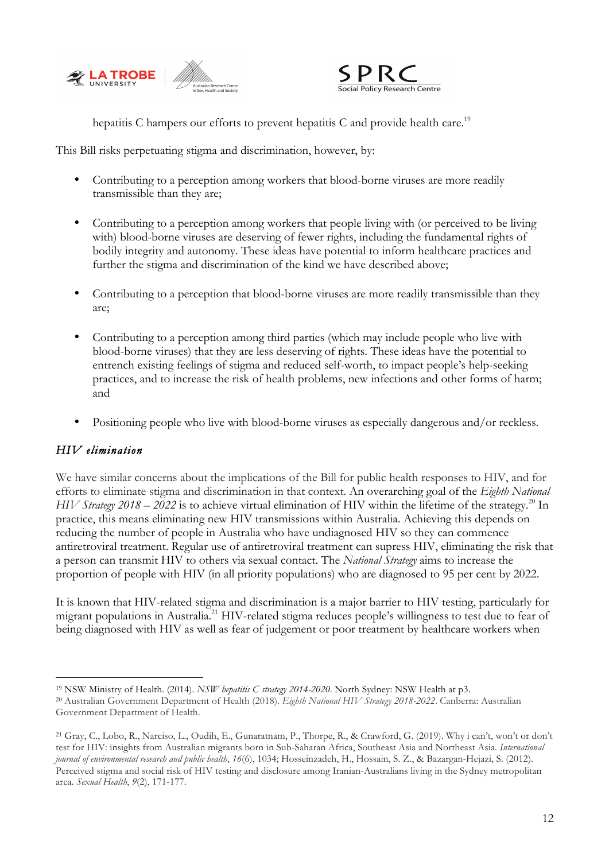



hepatitis C hampers our efforts to prevent hepatitis C and provide health care.<sup>19</sup>

This Bill risks perpetuating stigma and discrimination, however, by:

- Contributing to a perception among workers that blood-borne viruses are more readily transmissible than they are;
- Contributing to a perception among workers that people living with (or perceived to be living with) blood-borne viruses are deserving of fewer rights, including the fundamental rights of bodily integrity and autonomy. These ideas have potential to inform healthcare practices and further the stigma and discrimination of the kind we have described above;
- Contributing to a perception that blood-borne viruses are more readily transmissible than they are;
- Contributing to a perception among third parties (which may include people who live with blood-borne viruses) that they are less deserving of rights. These ideas have the potential to entrench existing feelings of stigma and reduced self-worth, to impact people's help-seeking practices, and to increase the risk of health problems, new infections and other forms of harm; and
- Positioning people who live with blood-borne viruses as especially dangerous and/or reckless.

# *HIV elimination*

We have similar concerns about the implications of the Bill for public health responses to HIV, and for efforts to eliminate stigma and discrimination in that context. An overarching goal of the *Eighth National HIV Strategy 2018 – 2022* is to achieve virtual elimination of HIV within the lifetime of the strategy.<sup>20</sup> In practice, this means eliminating new HIV transmissions within Australia. Achieving this depends on reducing the number of people in Australia who have undiagnosed HIV so they can commence antiretroviral treatment. Regular use of antiretroviral treatment can supress HIV, eliminating the risk that a person can transmit HIV to others via sexual contact. The *National Strategy* aims to increase the proportion of people with HIV (in all priority populations) who are diagnosed to 95 per cent by 2022.

It is known that HIV-related stigma and discrimination is a major barrier to HIV testing, particularly for migrant populations in Australia.21 HIV-related stigma reduces people's willingness to test due to fear of being diagnosed with HIV as well as fear of judgement or poor treatment by healthcare workers when

 <sup>19</sup> NSW Ministry of Health. (2014). *NSW hepatitis C strategy 2014-2020*. North Sydney: NSW Health at p3.

<sup>20</sup> Australian Government Department of Health (2018). *Eighth National HIV Strategy 2018-2022*. Canberra: Australian Government Department of Health.

<sup>21</sup> Gray, C., Lobo, R., Narciso, L., Oudih, E., Gunaratnam, P., Thorpe, R., & Crawford, G. (2019). Why i can't, won't or don't test for HIV: insights from Australian migrants born in Sub-Saharan Africa, Southeast Asia and Northeast Asia. *International journal of environmental research and public health*, *16*(6), 1034; Hosseinzadeh, H., Hossain, S. Z., & Bazargan-Hejazi, S. (2012). Perceived stigma and social risk of HIV testing and disclosure among Iranian-Australians living in the Sydney metropolitan area. *Sexual Health*, *9*(2), 171-177.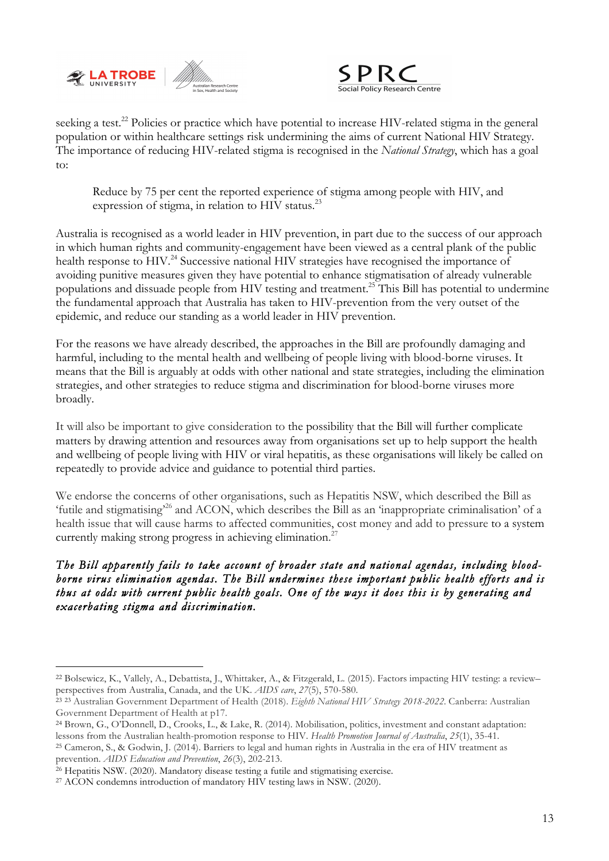



seeking a test.<sup>22</sup> Policies or practice which have potential to increase HIV-related stigma in the general population or within healthcare settings risk undermining the aims of current National HIV Strategy. The importance of reducing HIV-related stigma is recognised in the *National Strategy*, which has a goal to:

Reduce by 75 per cent the reported experience of stigma among people with HIV, and expression of stigma, in relation to HIV status.<sup>23</sup>

Australia is recognised as a world leader in HIV prevention, in part due to the success of our approach in which human rights and community-engagement have been viewed as a central plank of the public health response to HIV.<sup>24</sup> Successive national HIV strategies have recognised the importance of avoiding punitive measures given they have potential to enhance stigmatisation of already vulnerable populations and dissuade people from HIV testing and treatment. <sup>25</sup> This Bill has potential to undermine the fundamental approach that Australia has taken to HIV-prevention from the very outset of the epidemic, and reduce our standing as a world leader in HIV prevention.

For the reasons we have already described, the approaches in the Bill are profoundly damaging and harmful, including to the mental health and wellbeing of people living with blood-borne viruses. It means that the Bill is arguably at odds with other national and state strategies, including the elimination strategies, and other strategies to reduce stigma and discrimination for blood-borne viruses more broadly.

It will also be important to give consideration to the possibility that the Bill will further complicate matters by drawing attention and resources away from organisations set up to help support the health and wellbeing of people living with HIV or viral hepatitis, as these organisations will likely be called on repeatedly to provide advice and guidance to potential third parties.

We endorse the concerns of other organisations, such as Hepatitis NSW, which described the Bill as 'futile and stigmatising'26 and ACON, which describes the Bill as an 'inappropriate criminalisation' of a health issue that will cause harms to affected communities, cost money and add to pressure to a system currently making strong progress in achieving elimination.<sup>27</sup>

*The Bill apparently fails to take account of broader state and national agendas, including bloodborne virus elimination agendas. The Bill undermines these important public health efforts and is thus at odds with current public health goals. One of the ways it does this is by generating and exacerbating stigma and discrimination.* 

 <sup>22</sup> Bolsewicz, K., Vallely, A., Debattista, J., Whittaker, A., & Fitzgerald, L. (2015). Factors impacting HIV testing: a review– perspectives from Australia, Canada, and the UK. *AIDS care*, *27*(5), 570-580.

<sup>23</sup> <sup>23</sup> Australian Government Department of Health (2018). *Eighth National HIV Strategy 2018-2022*. Canberra: Australian Government Department of Health at p17.

<sup>24</sup> Brown, G., O'Donnell, D., Crooks, L., & Lake, R. (2014). Mobilisation, politics, investment and constant adaptation:

lessons from the Australian health-promotion response to HIV. Health Promotion Journal of Australia, 25(1), 35-41.<br><sup>25</sup> Cameron, S., & Godwin, J. (2014). Barriers to legal and human rights in Australia in the era of HIV tr prevention. *AIDS Education and Prevention*, *26*(3), 202-213.

<sup>26</sup> Hepatitis NSW. (2020). Mandatory disease testing a futile and stigmatising exercise. 27 ACON condemns introduction of mandatory HIV testing laws in NSW. (2020).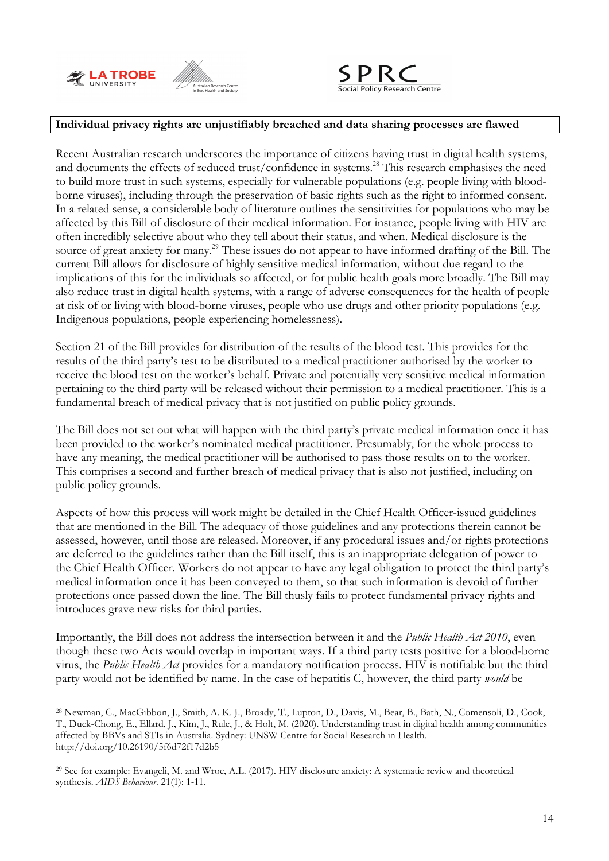



#### **Individual privacy rights are unjustifiably breached and data sharing processes are flawed**

Recent Australian research underscores the importance of citizens having trust in digital health systems, and documents the effects of reduced trust/confidence in systems.<sup>28</sup> This research emphasises the need to build more trust in such systems, especially for vulnerable populations (e.g. people living with bloodborne viruses), including through the preservation of basic rights such as the right to informed consent. In a related sense, a considerable body of literature outlines the sensitivities for populations who may be affected by this Bill of disclosure of their medical information. For instance, people living with HIV are often incredibly selective about who they tell about their status, and when. Medical disclosure is the source of great anxiety for many.<sup>29</sup> These issues do not appear to have informed drafting of the Bill. The current Bill allows for disclosure of highly sensitive medical information, without due regard to the implications of this for the individuals so affected, or for public health goals more broadly. The Bill may also reduce trust in digital health systems, with a range of adverse consequences for the health of people at risk of or living with blood-borne viruses, people who use drugs and other priority populations (e.g. Indigenous populations, people experiencing homelessness).

Section 21 of the Bill provides for distribution of the results of the blood test. This provides for the results of the third party's test to be distributed to a medical practitioner authorised by the worker to receive the blood test on the worker's behalf. Private and potentially very sensitive medical information pertaining to the third party will be released without their permission to a medical practitioner. This is a fundamental breach of medical privacy that is not justified on public policy grounds.

The Bill does not set out what will happen with the third party's private medical information once it has been provided to the worker's nominated medical practitioner. Presumably, for the whole process to have any meaning, the medical practitioner will be authorised to pass those results on to the worker. This comprises a second and further breach of medical privacy that is also not justified, including on public policy grounds.

Aspects of how this process will work might be detailed in the Chief Health Officer-issued guidelines that are mentioned in the Bill. The adequacy of those guidelines and any protections therein cannot be assessed, however, until those are released. Moreover, if any procedural issues and/or rights protections are deferred to the guidelines rather than the Bill itself, this is an inappropriate delegation of power to the Chief Health Officer. Workers do not appear to have any legal obligation to protect the third party's medical information once it has been conveyed to them, so that such information is devoid of further protections once passed down the line. The Bill thusly fails to protect fundamental privacy rights and introduces grave new risks for third parties.

Importantly, the Bill does not address the intersection between it and the *Public Health Act 2010*, even though these two Acts would overlap in important ways. If a third party tests positive for a blood-borne virus, the *Public Health Act* provides for a mandatory notification process. HIV is notifiable but the third party would not be identified by name. In the case of hepatitis C, however, the third party *would* be

 <sup>28</sup> Newman, C., MacGibbon, J., Smith, A. K. J., Broady, T., Lupton, D., Davis, M., Bear, B., Bath, N., Comensoli, D., Cook, T., Duck-Chong, E., Ellard, J., Kim, J., Rule, J., & Holt, M. (2020). Understanding trust in digital health among communities affected by BBVs and STIs in Australia. Sydney: UNSW Centre for Social Research in Health. http://doi.org/10.26190/5f6d72f17d2b5

<sup>29</sup> See for example: Evangeli, M. and Wroe, A.L. (2017). HIV disclosure anxiety: A systematic review and theoretical synthesis. *AIDS Behaviour.* 21(1): 1-11.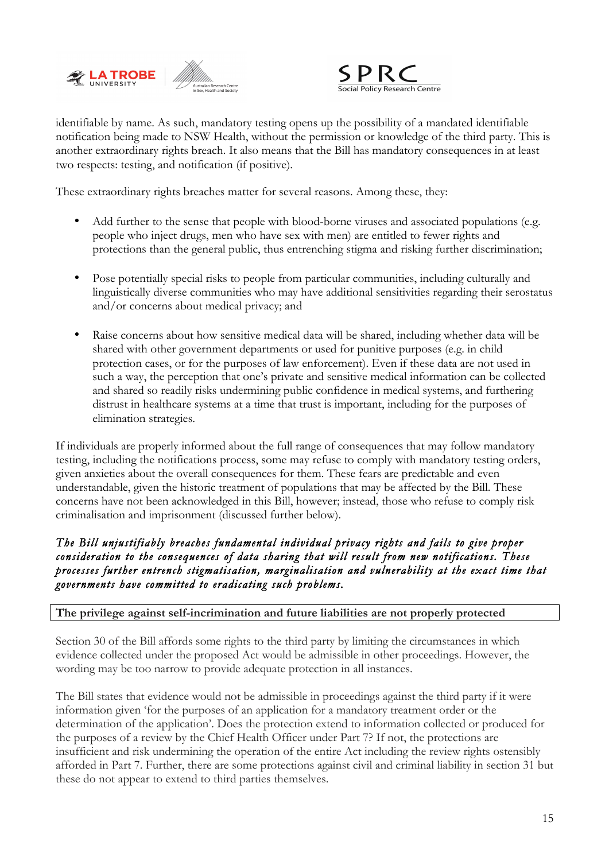



identifiable by name. As such, mandatory testing opens up the possibility of a mandated identifiable notification being made to NSW Health, without the permission or knowledge of the third party. This is another extraordinary rights breach. It also means that the Bill has mandatory consequences in at least two respects: testing, and notification (if positive).

These extraordinary rights breaches matter for several reasons. Among these, they:

- Add further to the sense that people with blood-borne viruses and associated populations (e.g. people who inject drugs, men who have sex with men) are entitled to fewer rights and protections than the general public, thus entrenching stigma and risking further discrimination;
- Pose potentially special risks to people from particular communities, including culturally and linguistically diverse communities who may have additional sensitivities regarding their serostatus and/or concerns about medical privacy; and
- Raise concerns about how sensitive medical data will be shared, including whether data will be shared with other government departments or used for punitive purposes (e.g. in child protection cases, or for the purposes of law enforcement). Even if these data are not used in such a way, the perception that one's private and sensitive medical information can be collected and shared so readily risks undermining public confidence in medical systems, and furthering distrust in healthcare systems at a time that trust is important, including for the purposes of elimination strategies.

If individuals are properly informed about the full range of consequences that may follow mandatory testing, including the notifications process, some may refuse to comply with mandatory testing orders, given anxieties about the overall consequences for them. These fears are predictable and even understandable, given the historic treatment of populations that may be affected by the Bill. These concerns have not been acknowledged in this Bill, however; instead, those who refuse to comply risk criminalisation and imprisonment (discussed further below).

## *The Bill unjustifiably breaches fundamental individual privacy rights and fails to give proper consideration to the consequences of data sharing that will result from new notifications. These processes further entrench stigmatisation, marginalisation and vulnerability at the exact time that governments have committed to eradicating such problems.*

## **The privilege against self-incrimination and future liabilities are not properly protected**

Section 30 of the Bill affords some rights to the third party by limiting the circumstances in which evidence collected under the proposed Act would be admissible in other proceedings. However, the wording may be too narrow to provide adequate protection in all instances.

The Bill states that evidence would not be admissible in proceedings against the third party if it were information given 'for the purposes of an application for a mandatory treatment order or the determination of the application'. Does the protection extend to information collected or produced for the purposes of a review by the Chief Health Officer under Part 7? If not, the protections are insufficient and risk undermining the operation of the entire Act including the review rights ostensibly afforded in Part 7. Further, there are some protections against civil and criminal liability in section 31 but these do not appear to extend to third parties themselves.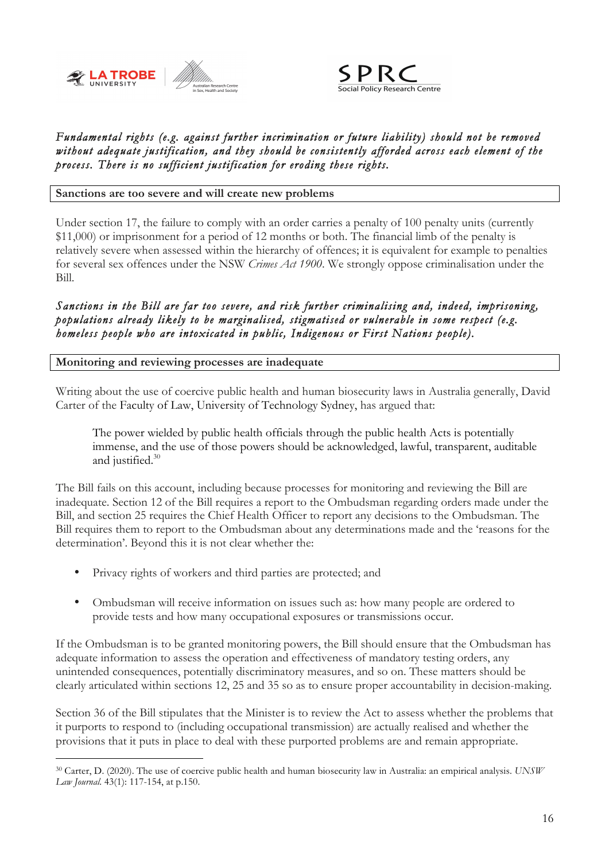



## *Fundamental rights (e.g. against further incrimination or future liability) should not be removed without adequate justification, and they should be consistently afforded across each element of the process. There is no sufficient justification for eroding these rights.*

**Sanctions are too severe and will create new problems**

Under section 17, the failure to comply with an order carries a penalty of 100 penalty units (currently \$11,000) or imprisonment for a period of 12 months or both. The financial limb of the penalty is relatively severe when assessed within the hierarchy of offences; it is equivalent for example to penalties for several sex offences under the NSW *Crimes Act 1900*. We strongly oppose criminalisation under the Bill.

*Sanctions in the Bill are far too severe, and risk further criminalising and, indeed, imprisoning, populations already likely to be marginalised, stigmatised or vulnerable in some respect (e.g. homeless people who are intoxicated in public, Indigenous or First Nations people).* 

#### **Monitoring and reviewing processes are inadequate**

Writing about the use of coercive public health and human biosecurity laws in Australia generally, David Carter of the Faculty of Law, University of Technology Sydney, has argued that:

The power wielded by public health officials through the public health Acts is potentially immense, and the use of those powers should be acknowledged, lawful, transparent, auditable and justified.<sup>30</sup>

The Bill fails on this account, including because processes for monitoring and reviewing the Bill are inadequate. Section 12 of the Bill requires a report to the Ombudsman regarding orders made under the Bill, and section 25 requires the Chief Health Officer to report any decisions to the Ombudsman. The Bill requires them to report to the Ombudsman about any determinations made and the 'reasons for the determination'. Beyond this it is not clear whether the:

- Privacy rights of workers and third parties are protected; and
- Ombudsman will receive information on issues such as: how many people are ordered to provide tests and how many occupational exposures or transmissions occur.

If the Ombudsman is to be granted monitoring powers, the Bill should ensure that the Ombudsman has adequate information to assess the operation and effectiveness of mandatory testing orders, any unintended consequences, potentially discriminatory measures, and so on. These matters should be clearly articulated within sections 12, 25 and 35 so as to ensure proper accountability in decision-making.

Section 36 of the Bill stipulates that the Minister is to review the Act to assess whether the problems that it purports to respond to (including occupational transmission) are actually realised and whether the provisions that it puts in place to deal with these purported problems are and remain appropriate.

 <sup>30</sup> Carter, D. (2020). The use of coercive public health and human biosecurity law in Australia: an empirical analysis. *UNSW Law Journal*. 43(1): 117-154, at p.150.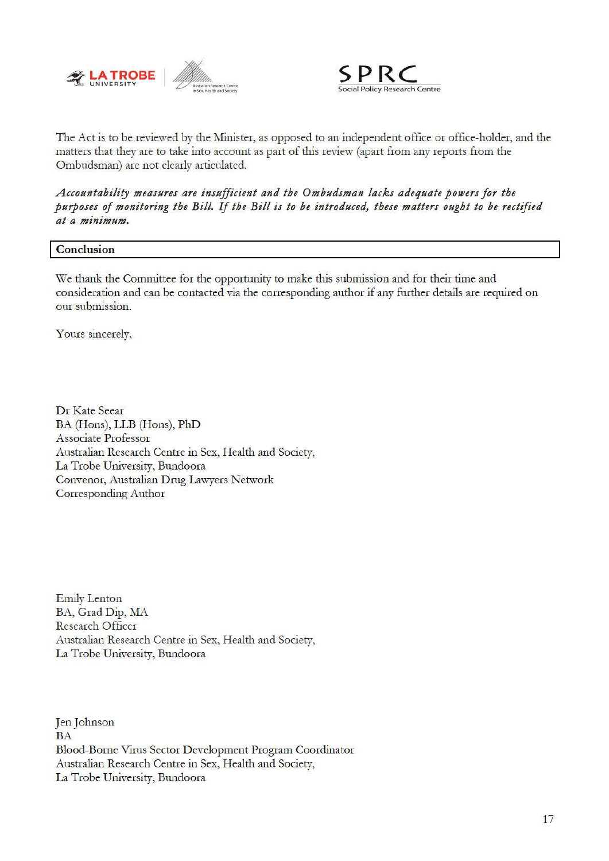



The Act is to be reviewed by the Minister, as opposed to an independent office or office-holder, and the matters that they are to take into account as part of this review (apart from any reports from the Ombudsman) are not clearly articulated.

#### *Accountability measures are insufficient and the Ombudsman lacks adequate powers for the purposes of monitoring the Bill. If the Bill is to be introduced, these matters ought to be rectified at a minimum.*

#### **Conclusion**

We thank the Committee for the opportunity to make this submission and for their *time* and consideration and can be contacted via the corresponding author if any further details are required on our submission.

Yours sincerely,

Dr Kate Seear BA (Hons), LLB (Hons), PhD Associate Professor Australian Research Centre in Sex, Health and *Society,*  La Trobe University, Bundoora Convenor, Australian Drng Lawyers Network Corresponding Author

Emily Lenton BA, Grad Dip, MA Research Officer Australian Research Centre in Sex, Health and *Society,*  La Trobe University, Bundoora

Jen Johnson BA Blood-Borne Vims Sector Development Program Coordinator Australian Research Centre in Sex, Health and *Society,*  La Trobe University, Bundoora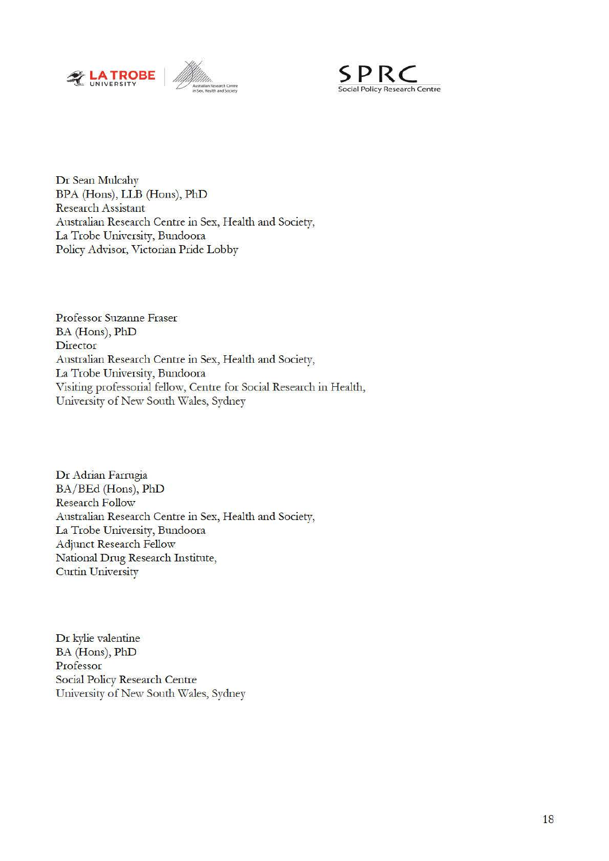



Dr Sean Mulcahy BPA (Hons), LLB (Hons), PhD Research Assistant Australian Research Centre in Sex, Health and Society, La Trobe University, Bundoora Policy Advisor, Victorian Pride Lobby

Professor Suzanne Fraser BA (Hons), PhD **Director** Australian Research Centre in Sex, Health and Society, La Trobe University, Bundoora Visiting professorial fellow, Centre for Social Research in Health, University of New South Wales, Sydney

Dr Adrian Farrugia BA/BEd (Hons), PhD Research Follow Australian Research Centre in Sex, Health and Society, La Trobe University, Bundoora Adjunct Research Fellow National Drng Research Institute, Curtin University

Dr kylie valentine BA (Hons), PhD Professor Social Policy Research Centre University of New South Wales, Sydney